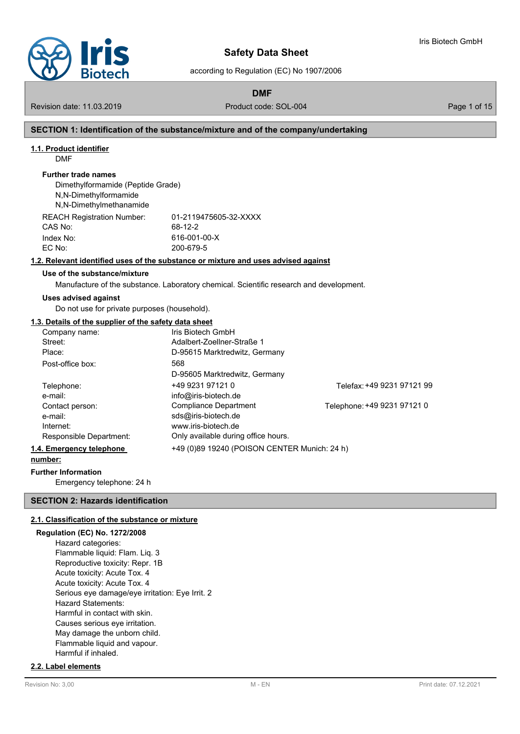

according to Regulation (EC) No 1907/2006

**DMF**

Revision date: 11.03.2019 **Product code: SOL-004** Page 1 of 15

Iris Biotech GmbH

## **SECTION 1: Identification of the substance/mixture and of the company/undertaking**

#### **1.1. Product identifier**

DMF

#### **Further trade names**

Dimethylformamide (Peptide Grade) N,N-Dimethylformamide N,N-Dimethylmethanamide REACH Registration Number: 01-2119475605-32-XXXX

| REAUN REGISTRIUM NUMBEL. | <u>UI-ZII 1947 JUUJ-JZ-AA</u> |
|--------------------------|-------------------------------|
| CAS No:                  | 68-12-2                       |
| Index No:                | 616-001-00-X                  |
| EC No:                   | 200-679-5                     |
|                          |                               |

#### **1.2. Relevant identified uses of the substance or mixture and uses advised against**

# **Use of the substance/mixture**

Manufacture of the substance. Laboratory chemical. Scientific research and development.

#### **Uses advised against**

Do not use for private purposes (household).

#### **1.3. Details of the supplier of the safety data sheet**

| Company name:            | Iris Biotech GmbH                            |                             |
|--------------------------|----------------------------------------------|-----------------------------|
| Street:                  | Adalbert-Zoellner-Straße 1                   |                             |
| Place:                   | D-95615 Marktredwitz, Germany                |                             |
| Post-office box:         | 568                                          |                             |
|                          | D-95605 Marktredwitz, Germany                |                             |
| Telephone:               | +49 9231 97121 0                             | Telefax: +49 9231 97121 99  |
| e-mail:                  | info@iris-biotech.de                         |                             |
| Contact person:          | <b>Compliance Department</b>                 | Telephone: +49 9231 97121 0 |
| e-mail:                  | sds@iris-biotech.de                          |                             |
| Internet:                | www.iris-biotech.de                          |                             |
| Responsible Department:  | Only available during office hours.          |                             |
| 1.4. Emergency telephone | +49 (0)89 19240 (POISON CENTER Munich: 24 h) |                             |
| number:                  |                                              |                             |

# **Further Information**

Emergency telephone: 24 h

#### **SECTION 2: Hazards identification**

# **2.1. Classification of the substance or mixture**

## **Regulation (EC) No. 1272/2008**

Hazard categories: Flammable liquid: Flam. Liq. 3 Reproductive toxicity: Repr. 1B Acute toxicity: Acute Tox. 4 Acute toxicity: Acute Tox. 4 Serious eye damage/eye irritation: Eye Irrit. 2 Hazard Statements: Harmful in contact with skin. Causes serious eye irritation. May damage the unborn child. Flammable liquid and vapour. Harmful if inhaled.

#### **2.2. Label elements**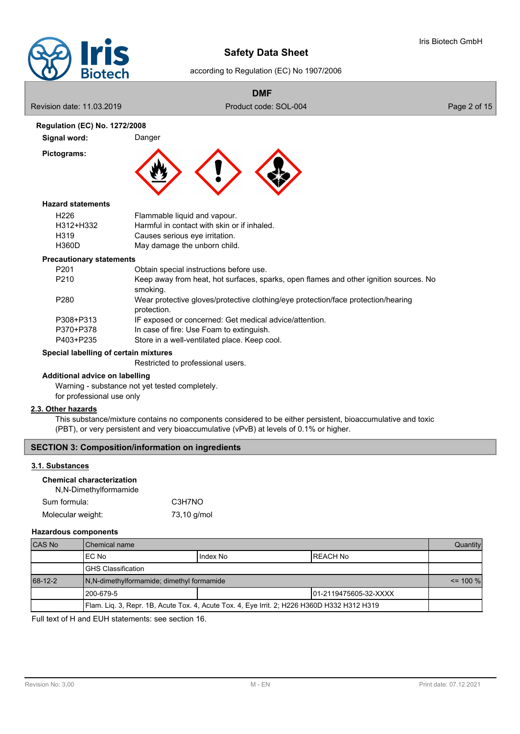

#### according to Regulation (EC) No 1907/2006

# **DMF**

Revision date: 11.03.2019 **Product code: SOL-004** Product code: SOL-004 **Regulation (EC) No. 1272/2008 Signal word:** Danger **Pictograms:** H226 Flammable liquid and vapour. H312+H332 Harmful in contact with skin or if inhaled. H319 Causes serious eye irritation. H360D May damage the unborn child. **Hazard statements** P201 Obtain special instructions before use. P210 Keep away from heat, hot surfaces, sparks, open flames and other ignition sources. No smoking. P280 Wear protective gloves/protective clothing/eye protection/face protection/hearing protection. P308+P313 IF exposed or concerned: Get medical advice/attention. P370+P378 In case of fire: Use Foam to extinguish. P403+P235 Store in a well-ventilated place. Keep cool. **Precautionary statements**

# **Special labelling of certain mixtures**

Restricted to professional users.

# **Additional advice on labelling**

Warning - substance not yet tested completely. for professional use only

## **2.3. Other hazards**

This substance/mixture contains no components considered to be either persistent, bioaccumulative and toxic (PBT), or very persistent and very bioaccumulative (vPvB) at levels of 0.1% or higher.

# **SECTION 3: Composition/information on ingredients**

#### **3.1. Substances**

# **Chemical characterization**

| N,N-Dimethylformamide |             |
|-----------------------|-------------|
| Sum formula:          | C3H7NO      |
| Molecular weight:     | 73,10 g/mol |

#### **Hazardous components**

| <b>CAS No</b> | l Chemical name                                                                             |  |  |  |  |  |
|---------------|---------------------------------------------------------------------------------------------|--|--|--|--|--|
|               | I Index No<br>IEC No<br>IREACH No                                                           |  |  |  |  |  |
|               | <b>IGHS Classification</b>                                                                  |  |  |  |  |  |
| 68-12-2       | N.N-dimethylformamide; dimethyl formamide                                                   |  |  |  |  |  |
|               | l 200-679-5<br>101-2119475605-32-XXXX                                                       |  |  |  |  |  |
|               | Flam. Liq. 3, Repr. 1B, Acute Tox. 4, Acute Tox. 4, Eye Irrit. 2; H226 H360D H332 H312 H319 |  |  |  |  |  |

Full text of H and EUH statements: see section 16.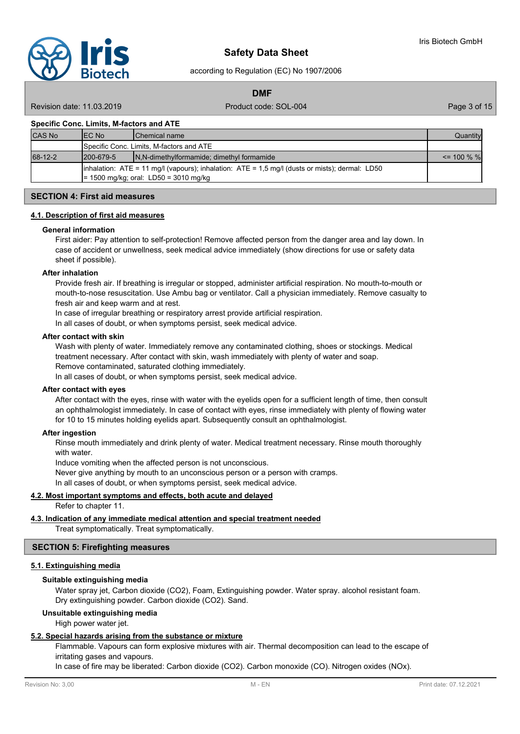according to Regulation (EC) No 1907/2006

**DMF**

Revision date: 11.03.2019 **Product code: SOL-004** Page 3 of 15

#### **Specific Conc. Limits, M-factors and ATE**

| <b>CAS No</b> | IEC No                                                                                                                                              | <b>IChemical name</b>                     | Quantity       |  |  |
|---------------|-----------------------------------------------------------------------------------------------------------------------------------------------------|-------------------------------------------|----------------|--|--|
|               | Specific Conc. Limits, M-factors and ATE                                                                                                            |                                           |                |  |  |
| 68-12-2       | 1200-679-5                                                                                                                                          | N,N-dimethylformamide; dimethyl formamide | $\leq$ 100 % % |  |  |
|               | $\lambda$ inhalation: ATE = 11 mg/l (vapours); inhalation: ATE = 1,5 mg/l (dusts or mists); dermal: LD50<br>$= 1500$ mg/kg; oral: LD50 = 3010 mg/kg |                                           |                |  |  |

# **SECTION 4: First aid measures**

#### **4.1. Description of first aid measures**

#### **General information**

First aider: Pay attention to self-protection! Remove affected person from the danger area and lay down. In case of accident or unwellness, seek medical advice immediately (show directions for use or safety data sheet if possible).

#### **After inhalation**

Provide fresh air. If breathing is irregular or stopped, administer artificial respiration. No mouth-to-mouth or mouth-to-nose resuscitation. Use Ambu bag or ventilator. Call a physician immediately. Remove casualty to fresh air and keep warm and at rest.

In case of irregular breathing or respiratory arrest provide artificial respiration.

In all cases of doubt, or when symptoms persist, seek medical advice.

#### **After contact with skin**

Wash with plenty of water. Immediately remove any contaminated clothing, shoes or stockings. Medical treatment necessary. After contact with skin, wash immediately with plenty of water and soap. Remove contaminated, saturated clothing immediately.

In all cases of doubt, or when symptoms persist, seek medical advice.

## **After contact with eyes**

After contact with the eyes, rinse with water with the eyelids open for a sufficient length of time, then consult an ophthalmologist immediately. In case of contact with eyes, rinse immediately with plenty of flowing water for 10 to 15 minutes holding eyelids apart. Subsequently consult an ophthalmologist.

#### **After ingestion**

Rinse mouth immediately and drink plenty of water. Medical treatment necessary. Rinse mouth thoroughly with water.

Induce vomiting when the affected person is not unconscious.

Never give anything by mouth to an unconscious person or a person with cramps.

In all cases of doubt, or when symptoms persist, seek medical advice.

# **4.2. Most important symptoms and effects, both acute and delayed**

Refer to chapter 11.

**4.3. Indication of any immediate medical attention and special treatment needed**

Treat symptomatically. Treat symptomatically.

#### **SECTION 5: Firefighting measures**

#### **5.1. Extinguishing media**

#### **Suitable extinguishing media**

Water spray jet, Carbon dioxide (CO2), Foam, Extinguishing powder. Water spray. alcohol resistant foam. Dry extinguishing powder. Carbon dioxide (CO2). Sand.

#### **Unsuitable extinguishing media**

High power water jet.

#### **5.2. Special hazards arising from the substance or mixture**

Flammable. Vapours can form explosive mixtures with air. Thermal decomposition can lead to the escape of irritating gases and vapours.

In case of fire may be liberated: Carbon dioxide (CO2). Carbon monoxide (CO). Nitrogen oxides (NOx).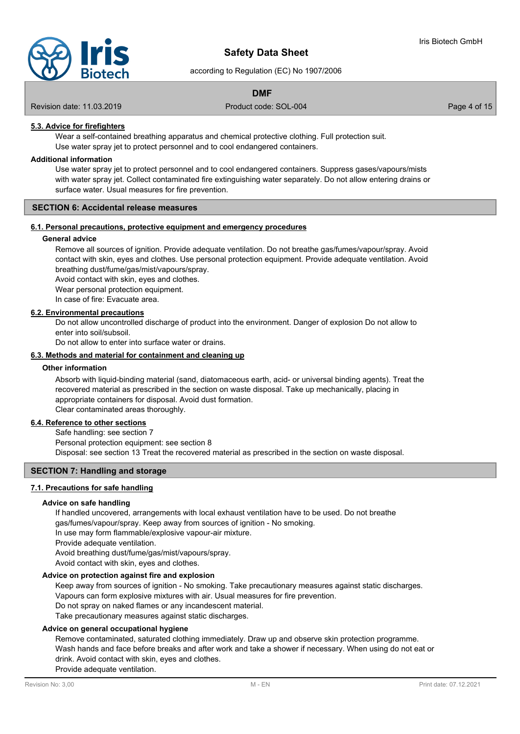

according to Regulation (EC) No 1907/2006

# **DMF**

Revision date: 11.03.2019 **Product code: SOL-004** Page 4 of 15

# **5.3. Advice for firefighters**

Wear a self-contained breathing apparatus and chemical protective clothing. Full protection suit. Use water spray jet to protect personnel and to cool endangered containers.

#### **Additional information**

Use water spray jet to protect personnel and to cool endangered containers. Suppress gases/vapours/mists with water spray jet. Collect contaminated fire extinguishing water separately. Do not allow entering drains or surface water. Usual measures for fire prevention.

#### **SECTION 6: Accidental release measures**

# **6.1. Personal precautions, protective equipment and emergency procedures**

#### **General advice**

Remove all sources of ignition. Provide adequate ventilation. Do not breathe gas/fumes/vapour/spray. Avoid contact with skin, eyes and clothes. Use personal protection equipment. Provide adequate ventilation. Avoid breathing dust/fume/gas/mist/vapours/spray.

Avoid contact with skin, eyes and clothes.

Wear personal protection equipment.

In case of fire: Evacuate area.

#### **6.2. Environmental precautions**

Do not allow uncontrolled discharge of product into the environment. Danger of explosion Do not allow to enter into soil/subsoil.

Do not allow to enter into surface water or drains.

#### **6.3. Methods and material for containment and cleaning up**

#### **Other information**

Absorb with liquid-binding material (sand, diatomaceous earth, acid- or universal binding agents). Treat the recovered material as prescribed in the section on waste disposal. Take up mechanically, placing in appropriate containers for disposal. Avoid dust formation. Clear contaminated areas thoroughly.

#### **6.4. Reference to other sections**

Safe handling: see section 7 Personal protection equipment: see section 8 Disposal: see section 13 Treat the recovered material as prescribed in the section on waste disposal.

## **SECTION 7: Handling and storage**

## **7.1. Precautions for safe handling**

#### **Advice on safe handling**

If handled uncovered, arrangements with local exhaust ventilation have to be used. Do not breathe gas/fumes/vapour/spray. Keep away from sources of ignition - No smoking. In use may form flammable/explosive vapour-air mixture. Provide adequate ventilation. Avoid breathing dust/fume/gas/mist/vapours/spray.

Avoid contact with skin, eyes and clothes.

# **Advice on protection against fire and explosion**

Keep away from sources of ignition - No smoking. Take precautionary measures against static discharges. Vapours can form explosive mixtures with air. Usual measures for fire prevention. Do not spray on naked flames or any incandescent material. Take precautionary measures against static discharges.

## **Advice on general occupational hygiene**

Remove contaminated, saturated clothing immediately. Draw up and observe skin protection programme. Wash hands and face before breaks and after work and take a shower if necessary. When using do not eat or drink. Avoid contact with skin, eyes and clothes. Provide adequate ventilation.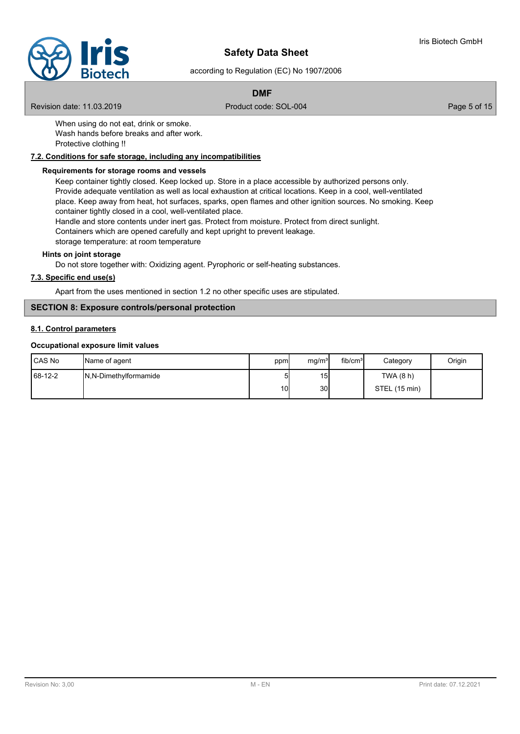

according to Regulation (EC) No 1907/2006

# **DMF**

Revision date: 11.03.2019 **Product code: SOL-004** Page 5 of 15

When using do not eat, drink or smoke. Wash hands before breaks and after work. Protective clothing !!

# **7.2. Conditions for safe storage, including any incompatibilities**

## **Requirements for storage rooms and vessels**

Keep container tightly closed. Keep locked up. Store in a place accessible by authorized persons only. Provide adequate ventilation as well as local exhaustion at critical locations. Keep in a cool, well-ventilated place. Keep away from heat, hot surfaces, sparks, open flames and other ignition sources. No smoking. Keep container tightly closed in a cool, well-ventilated place. Handle and store contents under inert gas. Protect from moisture. Protect from direct sunlight.

Containers which are opened carefully and kept upright to prevent leakage. storage temperature: at room temperature

**Hints on joint storage**

Do not store together with: Oxidizing agent. Pyrophoric or self-heating substances.

# **7.3. Specific end use(s)**

Apart from the uses mentioned in section 1.2 no other specific uses are stipulated.

# **SECTION 8: Exposure controls/personal protection**

#### **8.1. Control parameters**

#### **Occupational exposure limit values**

| l CAS No  | Name of agent           | ppm | mg/m <sup>3</sup> | fib/cm <sup>3</sup> | Category      | Origin |
|-----------|-------------------------|-----|-------------------|---------------------|---------------|--------|
| $68-12-2$ | IN, N-Dimethylformamide |     | 15I               |                     | TWA (8 h)     |        |
|           |                         | 10  | 30 <sup>l</sup>   |                     | STEL (15 min) |        |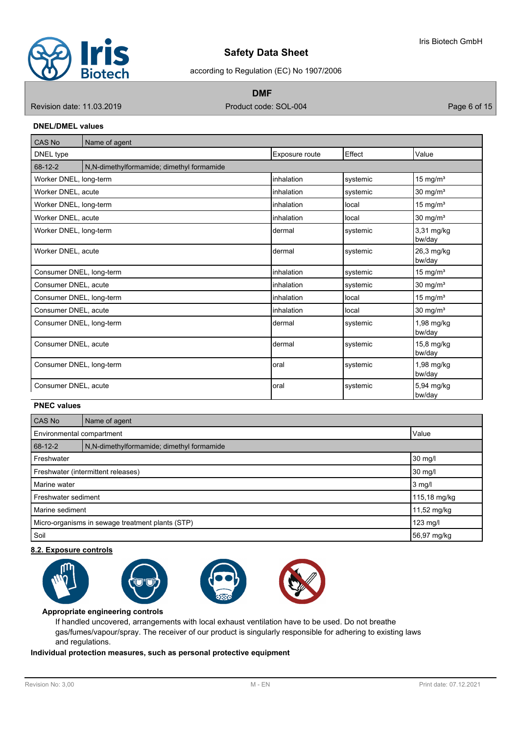

according to Regulation (EC) No 1907/2006

**DMF**

Revision date: 11.03.2019 **Product code: SOL-004** Product code: SOL-004

## **DNEL/DMEL values**

| CAS No                   | Name of agent                             |                   |          |                      |  |  |  |  |  |
|--------------------------|-------------------------------------------|-------------------|----------|----------------------|--|--|--|--|--|
| DNEL type                | Exposure route                            |                   | Effect   | Value                |  |  |  |  |  |
| 68-12-2                  | N,N-dimethylformamide; dimethyl formamide |                   |          |                      |  |  |  |  |  |
| Worker DNEL, long-term   |                                           | linhalation       | systemic | 15 mg/ $m3$          |  |  |  |  |  |
| Worker DNEL, acute       |                                           | <i>inhalation</i> | systemic | 30 mg/m <sup>3</sup> |  |  |  |  |  |
| Worker DNEL, long-term   |                                           | linhalation       | local    | 15 mg/ $m3$          |  |  |  |  |  |
| Worker DNEL, acute       |                                           | <i>inhalation</i> | local    | $30 \text{ mg/m}^3$  |  |  |  |  |  |
| Worker DNEL, long-term   |                                           | dermal            | systemic | 3,31 mg/kg<br>bw/day |  |  |  |  |  |
| Worker DNEL, acute       |                                           | dermal            | systemic | 26,3 mg/kg<br>bw/day |  |  |  |  |  |
| Consumer DNEL, long-term |                                           | linhalation       | systemic | $15 \text{ mg/m}^3$  |  |  |  |  |  |
| Consumer DNEL, acute     |                                           | linhalation       | systemic | $30 \text{ mg/m}^3$  |  |  |  |  |  |
| Consumer DNEL, long-term |                                           | linhalation       | local    | $15 \text{ mg/m}^3$  |  |  |  |  |  |
| Consumer DNEL, acute     |                                           | linhalation       | local    | 30 mg/m <sup>3</sup> |  |  |  |  |  |
| Consumer DNEL, long-term |                                           | Idermal           | systemic | 1,98 mg/kg<br>bw/day |  |  |  |  |  |
| Consumer DNEL, acute     |                                           | Idermal           | systemic | 15,8 mg/kg<br>bw/day |  |  |  |  |  |
| Consumer DNEL, long-term |                                           | loral             | systemic | 1,98 mg/kg<br>bw/day |  |  |  |  |  |
| Consumer DNEL, acute     |                                           | loral             | systemic | 5,94 mg/kg<br>bw/day |  |  |  |  |  |

# **PNEC values**

| <b>CAS No</b>                                    | Name of agent                              |             |  |  |  |
|--------------------------------------------------|--------------------------------------------|-------------|--|--|--|
|                                                  | Environmental compartment<br>Value         |             |  |  |  |
| 68-12-2                                          | N, N-dimethylformamide; dimethyl formamide |             |  |  |  |
| 30 mg/l<br>Freshwater                            |                                            |             |  |  |  |
| Freshwater (intermittent releases)               | 30 mg/l                                    |             |  |  |  |
| Marine water                                     |                                            | $3$ mg/l    |  |  |  |
| Freshwater sediment                              | 115,18 mg/kg                               |             |  |  |  |
| Marine sediment                                  |                                            | 11,52 mg/kg |  |  |  |
| Micro-organisms in sewage treatment plants (STP) |                                            | $123$ mg/l  |  |  |  |
| Soil                                             |                                            | 56,97 mg/kg |  |  |  |

## **8.2. Exposure controls**



#### **Appropriate engineering controls**

If handled uncovered, arrangements with local exhaust ventilation have to be used. Do not breathe gas/fumes/vapour/spray. The receiver of our product is singularly responsible for adhering to existing laws and regulations.

# **Individual protection measures, such as personal protective equipment**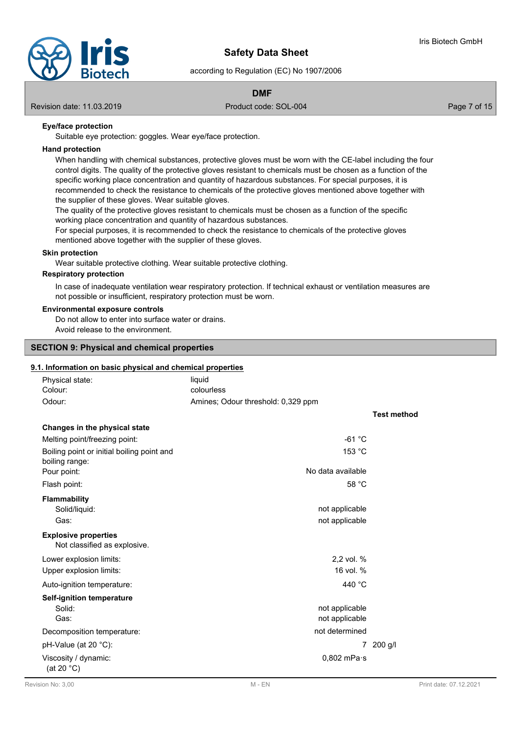

according to Regulation (EC) No 1907/2006

# **DMF**

Revision date: 11.03.2019 **Product code: SOL-004** Page 7 of 15

# **Eye/face protection**

Suitable eye protection: goggles. Wear eye/face protection.

#### **Hand protection**

When handling with chemical substances, protective gloves must be worn with the CE-label including the four control digits. The quality of the protective gloves resistant to chemicals must be chosen as a function of the specific working place concentration and quantity of hazardous substances. For special purposes, it is recommended to check the resistance to chemicals of the protective gloves mentioned above together with the supplier of these gloves. Wear suitable gloves.

The quality of the protective gloves resistant to chemicals must be chosen as a function of the specific working place concentration and quantity of hazardous substances.

For special purposes, it is recommended to check the resistance to chemicals of the protective gloves mentioned above together with the supplier of these gloves.

#### **Skin protection**

Wear suitable protective clothing. Wear suitable protective clothing.

#### **Respiratory protection**

In case of inadequate ventilation wear respiratory protection. If technical exhaust or ventilation measures are not possible or insufficient, respiratory protection must be worn.

#### **Environmental exposure controls**

Do not allow to enter into surface water or drains. Avoid release to the environment.

## **SECTION 9: Physical and chemical properties**

# **9.1. Information on basic physical and chemical properties**

| Physical state:                                              | .<br>liquid                        |                    |
|--------------------------------------------------------------|------------------------------------|--------------------|
| Colour:                                                      | colourless                         |                    |
| Odour:                                                       | Amines; Odour threshold: 0,329 ppm |                    |
|                                                              |                                    | <b>Test method</b> |
| Changes in the physical state                                |                                    |                    |
| Melting point/freezing point:                                | $-61 °C$                           |                    |
| Boiling point or initial boiling point and<br>boiling range: | 153 °C                             |                    |
| Pour point:                                                  | No data available                  |                    |
| Flash point:                                                 | 58 °C                              |                    |
| <b>Flammability</b>                                          |                                    |                    |
| Solid/liquid:                                                | not applicable                     |                    |
| Gas:                                                         | not applicable                     |                    |
| <b>Explosive properties</b><br>Not classified as explosive.  |                                    |                    |
| Lower explosion limits:                                      | 2,2 vol. %                         |                    |
| Upper explosion limits:                                      | 16 vol. %                          |                    |
| Auto-ignition temperature:                                   | 440 °C                             |                    |
| <b>Self-ignition temperature</b>                             |                                    |                    |
| Solid:                                                       | not applicable                     |                    |
| Gas:                                                         | not applicable                     |                    |
| Decomposition temperature:                                   | not determined                     |                    |
| pH-Value (at 20 °C):                                         | 7                                  | 200 g/l            |
| Viscosity / dynamic:<br>(at 20 $°C$ )                        | $0,802$ mPa $\cdot$ s              |                    |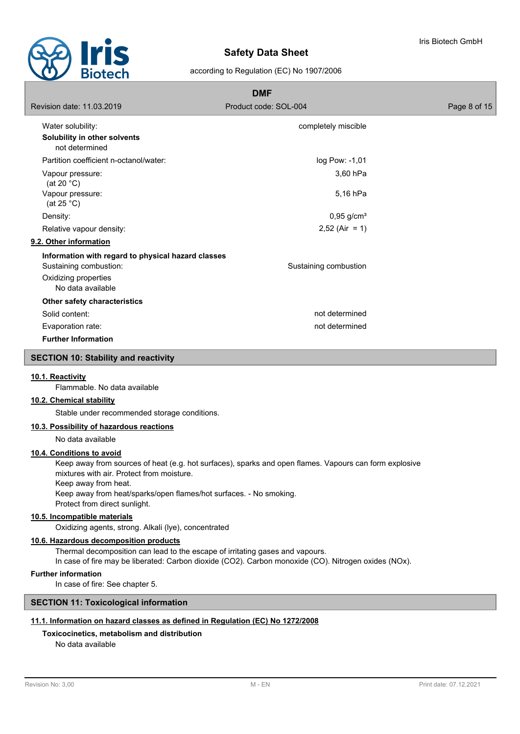

|                                                    | <b>DMF</b>               |              |
|----------------------------------------------------|--------------------------|--------------|
| Revision date: 11.03.2019                          | Product code: SOL-004    | Page 8 of 15 |
| Water solubility:                                  | completely miscible      |              |
| Solubility in other solvents<br>not determined     |                          |              |
| Partition coefficient n-octanol/water:             | log Pow: -1,01           |              |
| Vapour pressure:<br>(at 20 $°C$ )                  | 3,60 hPa                 |              |
| Vapour pressure:<br>(at 25 $^{\circ}$ C)           | 5,16 hPa                 |              |
| Density:                                           | $0,95$ g/cm <sup>3</sup> |              |
| Relative vapour density:                           | $2,52$ (Air = 1)         |              |
| 9.2. Other information                             |                          |              |
| Information with regard to physical hazard classes |                          |              |
| Sustaining combustion:                             | Sustaining combustion    |              |
| Oxidizing properties                               |                          |              |
| No data available                                  |                          |              |
| Other safety characteristics                       |                          |              |
| Solid content:                                     | not determined           |              |
| Evaporation rate:                                  | not determined           |              |
| <b>Further Information</b>                         |                          |              |

#### **SECTION 10: Stability and reactivity**

#### **10.1. Reactivity**

Flammable. No data available

# **10.2. Chemical stability**

Stable under recommended storage conditions.

# **10.3. Possibility of hazardous reactions**

No data available

## **10.4. Conditions to avoid**

Keep away from sources of heat (e.g. hot surfaces), sparks and open flames. Vapours can form explosive mixtures with air. Protect from moisture.

Keep away from heat.

Keep away from heat/sparks/open flames/hot surfaces. - No smoking. Protect from direct sunlight.

#### **10.5. Incompatible materials**

Oxidizing agents, strong. Alkali (lye), concentrated

# **10.6. Hazardous decomposition products**

Thermal decomposition can lead to the escape of irritating gases and vapours. In case of fire may be liberated: Carbon dioxide (CO2). Carbon monoxide (CO). Nitrogen oxides (NOx).

#### **Further information**

In case of fire: See chapter 5.

# **SECTION 11: Toxicological information**

#### **11.1. Information on hazard classes as defined in Regulation (EC) No 1272/2008**

#### **Toxicocinetics, metabolism and distribution**

No data available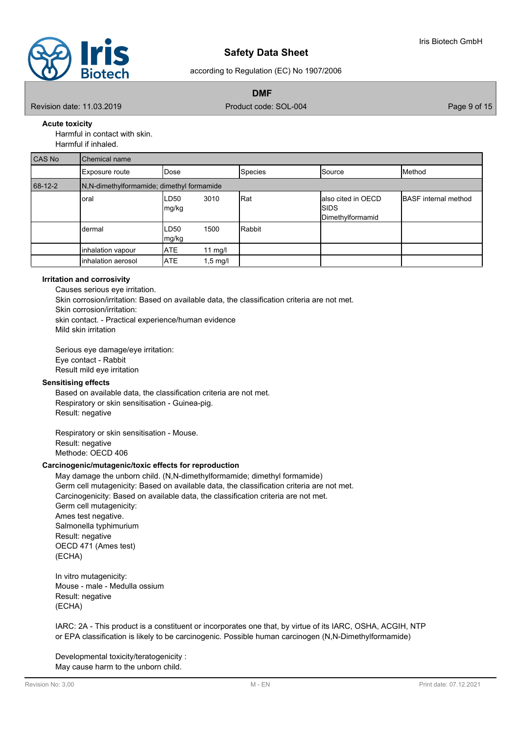

according to Regulation (EC) No 1907/2006

**DMF**

Revision date: 11.03.2019 **Product code: SOL-004** Page 9 of 15

**Acute toxicity**

Harmful in contact with skin.

Harmful if inhaled.

| CAS No  | Chemical name                             |               |                    |         |                                                         |                             |  |  |  |
|---------|-------------------------------------------|---------------|--------------------|---------|---------------------------------------------------------|-----------------------------|--|--|--|
|         | Exposure route                            | <b>IDose</b>  |                    | Species | Source                                                  | Method                      |  |  |  |
| 68-12-2 | N,N-dimethylformamide; dimethyl formamide |               |                    |         |                                                         |                             |  |  |  |
|         | oral                                      | LD50<br>mg/kg | 3010               | Rat     | lalso cited in OECD<br><b>ISIDS</b><br>Dimethylformamid | <b>BASF</b> internal method |  |  |  |
|         | dermal                                    | LD50<br>mg/kg | 1500               | Rabbit  |                                                         |                             |  |  |  |
|         | inhalation vapour                         | <b>ATE</b>    | 11 mg/l            |         |                                                         |                             |  |  |  |
|         | inhalation aerosol                        | <b>ATE</b>    | $1,5 \text{ mg/l}$ |         |                                                         |                             |  |  |  |

## **Irritation and corrosivity**

Causes serious eye irritation. Skin corrosion/irritation: Based on available data, the classification criteria are not met. Skin corrosion/irritation: skin contact. - Practical experience/human evidence Mild skin irritation

Serious eye damage/eye irritation: Eye contact - Rabbit Result mild eye irritation

# **Sensitising effects**

Based on available data, the classification criteria are not met. Respiratory or skin sensitisation - Guinea-pig. Result: negative

Respiratory or skin sensitisation - Mouse. Result: negative Methode: OECD 406

## **Carcinogenic/mutagenic/toxic effects for reproduction**

May damage the unborn child. (N,N-dimethylformamide; dimethyl formamide) Germ cell mutagenicity: Based on available data, the classification criteria are not met. Carcinogenicity: Based on available data, the classification criteria are not met. Germ cell mutagenicity: Ames test negative. Salmonella typhimurium Result: negative OECD 471 (Ames test) (ECHA)

In vitro mutagenicity: Mouse - male - Medulla ossium Result: negative (ECHA)

IARC: 2A - This product is a constituent or incorporates one that, by virtue of its IARC, OSHA, ACGIH, NTP or EPA classification is likely to be carcinogenic. Possible human carcinogen (N,N-Dimethylformamide)

Developmental toxicity/teratogenicity : May cause harm to the unborn child.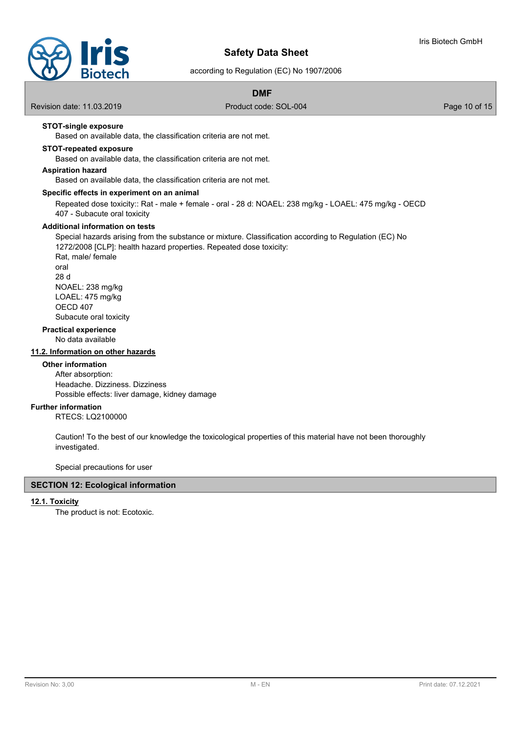



according to Regulation (EC) No 1907/2006

# **DMF**

Revision date: 11.03.2019 **Product code: SOL-004** Product code: SOL-004 Page 10 of 15

# **STOT-single exposure**

Based on available data, the classification criteria are not met.

# **STOT-repeated exposure**

Based on available data, the classification criteria are not met.

# **Aspiration hazard**

Based on available data, the classification criteria are not met.

#### **Specific effects in experiment on an animal**

Repeated dose toxicity:: Rat - male + female - oral - 28 d: NOAEL: 238 mg/kg - LOAEL: 475 mg/kg - OECD 407 - Subacute oral toxicity

#### **Additional information on tests**

Special hazards arising from the substance or mixture. Classification according to Regulation (EC) No 1272/2008 [CLP]: health hazard properties. Repeated dose toxicity: Rat, male/ female oral 28 d

NOAEL: 238 mg/kg LOAEL: 475 mg/kg OECD 407 Subacute oral toxicity

#### **Practical experience**

No data available

#### **11.2. Information on other hazards**

## **Other information**

After absorption: Headache. Dizziness. Dizziness Possible effects: liver damage, kidney damage

#### **Further information**

RTECS: LQ2100000

Caution! To the best of our knowledge the toxicological properties of this material have not been thoroughly investigated.

Special precautions for user

# **SECTION 12: Ecological information**

#### **12.1. Toxicity**

The product is not: Ecotoxic.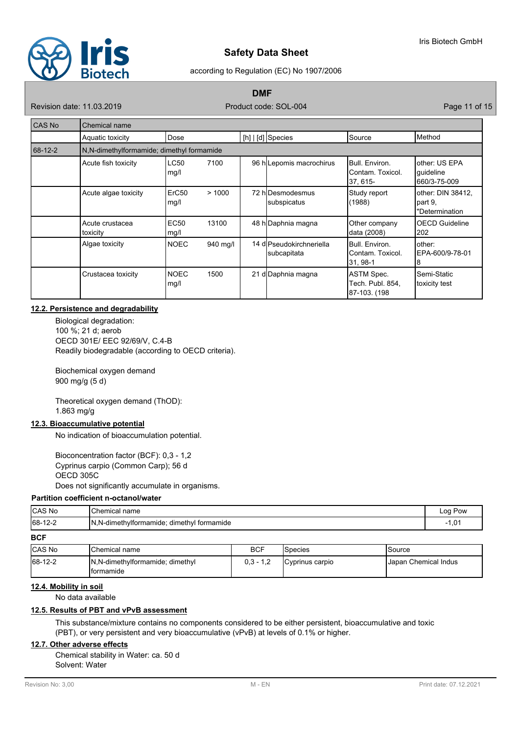

#### according to Regulation (EC) No 1907/2006

**DMF**

Revision date: 11.03.2019 Product code: SOL-004 Product code: SOL-004 Page 11 of 15

| <b>CAS No</b> | <b>Chemical name</b>                      |                           |          |  |                                         |                                                  |                                                 |  |
|---------------|-------------------------------------------|---------------------------|----------|--|-----------------------------------------|--------------------------------------------------|-------------------------------------------------|--|
|               | Aquatic toxicity                          | Dose                      |          |  | $[h]   [d]$ Species                     | <b>Source</b>                                    | Method                                          |  |
| 68-12-2       | N.N-dimethylformamide; dimethyl formamide |                           |          |  |                                         |                                                  |                                                 |  |
|               | Acute fish toxicity                       | <b>LC50</b><br>mg/l       | 7100     |  | 96 h Lepomis macrochirus                | Bull, Environ.<br>IContam. Toxicol.<br>37, 615-  | lother: US EPA<br> quideline<br>660/3-75-009    |  |
|               | Acute algae toxicity                      | ErC <sub>50</sub><br>mg/l | >1000    |  | 72 hIDesmodesmus<br>subspicatus         | Study report<br>(1988)                           | lother: DIN 38412.<br>part 9,<br>"Determination |  |
|               | Acute crustacea<br>toxicity               | EC50<br>mg/l              | 13100    |  | 48 h Daphnia magna                      | Other company<br><b>data (2008)</b>              | <b>OECD Guideline</b><br>202                    |  |
|               | Algae toxicity                            | <b>NOEC</b>               | 940 mg/l |  | 14 dlPseudokirchneriella<br>subcapitata | Bull, Environ.<br>IContam. Toxicol.<br> 31, 98-1 | other:<br>EPA-600/9-78-01<br>8                  |  |
|               | Crustacea toxicity                        | <b>NOEC</b><br>mg/l       | 1500     |  | 21 d Daphnia magna                      | ASTM Spec.<br>Tech. Publ. 854,<br>87-103. (198   | Semi-Static<br>toxicity test                    |  |

# **12.2. Persistence and degradability**

Biological degradation: 100 %; 21 d; aerob OECD 301E/ EEC 92/69/V, C.4-B Readily biodegradable (according to OECD criteria).

Biochemical oxygen demand 900 mg/g (5 d)

Theoretical oxygen demand (ThOD): 1.863 mg/g

# **12.3. Bioaccumulative potential**

No indication of bioaccumulation potential.

Bioconcentration factor (BCF): 0,3 - 1,2 Cyprinus carpio (Common Carp); 56 d OECD 305C Does not significantly accumulate in organisms.

#### **Partition coefficient n-octanol/water**

| <b>CAS No</b>       | <b>Chemical in</b><br>I name                    | Log Pow<br>.  |
|---------------------|-------------------------------------------------|---------------|
| 68-12-2<br>$12 - 2$ | IN, N-dimethylformamide<br>∵ dimethyl formamide | $\sim$<br>τ,υ |

# **BCF**

| <b>ICAS No</b> | <b>IChemical name</b>                                  | <b>BCF</b>  | <b>S</b> pecies | ISource                     |
|----------------|--------------------------------------------------------|-------------|-----------------|-----------------------------|
| 68-12-2        | IN, N-dimethylformamide; dimethyl<br><b>Iformamide</b> | $0.3 - 1.2$ | Cyprinus carpio | <b>Uapan Chemical Indus</b> |

# **12.4. Mobility in soil**

No data available

## **12.5. Results of PBT and vPvB assessment**

This substance/mixture contains no components considered to be either persistent, bioaccumulative and toxic (PBT), or very persistent and very bioaccumulative (vPvB) at levels of 0.1% or higher.

# **12.7. Other adverse effects**

Chemical stability in Water: ca. 50 d Solvent: Water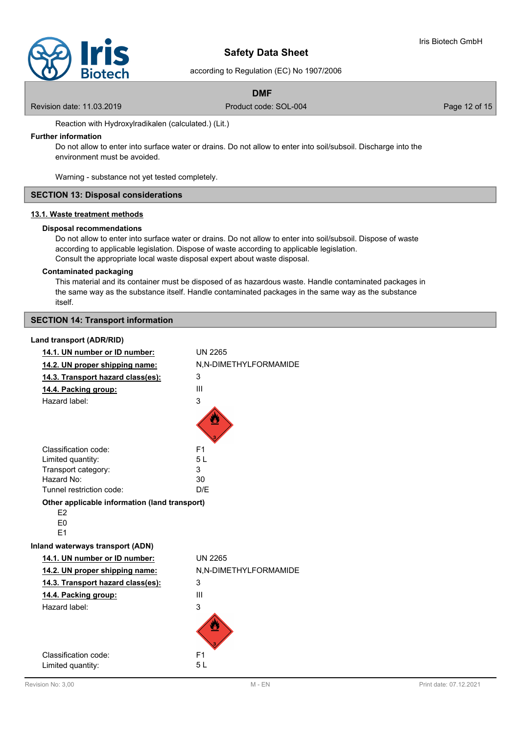

according to Regulation (EC) No 1907/2006

## **DMF**

Revision date: 11.03.2019 **Product code: SOL-004** Product code: SOL-004 Page 12 of 15

Reaction with Hydroxylradikalen (calculated.) (Lit.)

# **Further information**

Do not allow to enter into surface water or drains. Do not allow to enter into soil/subsoil. Discharge into the environment must be avoided.

Warning - substance not yet tested completely.

# **SECTION 13: Disposal considerations**

# **13.1. Waste treatment methods**

#### **Disposal recommendations**

Do not allow to enter into surface water or drains. Do not allow to enter into soil/subsoil. Dispose of waste according to applicable legislation. Dispose of waste according to applicable legislation. Consult the appropriate local waste disposal expert about waste disposal.

#### **Contaminated packaging**

This material and its container must be disposed of as hazardous waste. Handle contaminated packages in the same way as the substance itself. Handle contaminated packages in the same way as the substance itself.

# **SECTION 14: Transport information**

#### **Land transport (ADR/RID)**

| 14.1. UN number or ID number:                 | <b>UN 2265</b>        |  |  |
|-----------------------------------------------|-----------------------|--|--|
| 14.2. UN proper shipping name:                | N,N-DIMETHYLFORMAMIDE |  |  |
| 14.3. Transport hazard class(es):             | 3                     |  |  |
| 14.4. Packing group:                          | Ш                     |  |  |
| Hazard label:                                 | 3                     |  |  |
|                                               |                       |  |  |
|                                               |                       |  |  |
| Classification code:                          | F <sub>1</sub>        |  |  |
| Limited quantity:                             | 5L                    |  |  |
| Transport category:                           | 3                     |  |  |
| Hazard No:                                    | 30                    |  |  |
| Tunnel restriction code:                      | D/E                   |  |  |
| Other applicable information (land transport) |                       |  |  |
| E2                                            |                       |  |  |
| E <sub>0</sub>                                |                       |  |  |
| F <sub>1</sub>                                |                       |  |  |
| Inland waterways transport (ADN)              |                       |  |  |
| 14.1. UN number or ID number:                 | <b>UN 2265</b>        |  |  |
| 14.2. UN proper shipping name:                | N,N-DIMETHYLFORMAMIDE |  |  |
| 14.3. Transport hazard class(es):             | 3                     |  |  |
| 14.4. Packing group:                          | $\mathbf{III}$        |  |  |
| Hazard label:                                 | 3                     |  |  |
|                                               |                       |  |  |
|                                               |                       |  |  |
|                                               |                       |  |  |
| Classification code:                          | F <sub>1</sub>        |  |  |
| Limited quantity:                             | 5L                    |  |  |
|                                               |                       |  |  |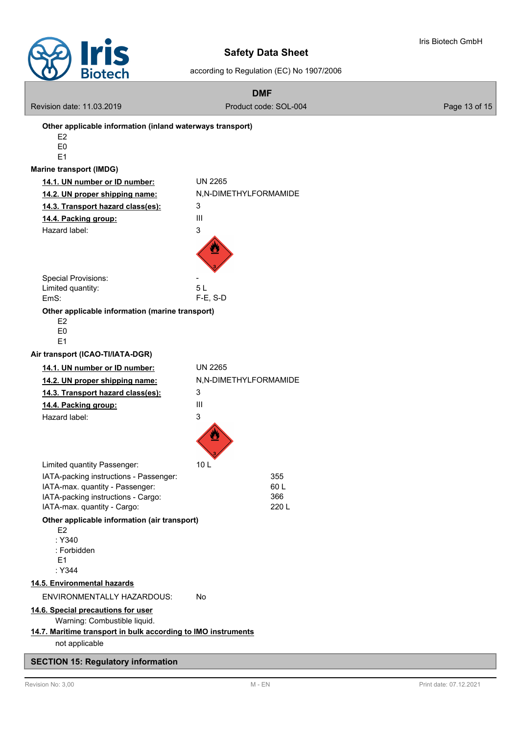

according to Regulation (EC) No 1907/2006

|                                | <b>DIOTECH</b>                                                        | $1000$ and $1000$ and $1000$ and $1000$ and $1000$ and $1000$ and $1000$ and $1000$ and $1000$ and $1000$ and $1000$ and $1000$ and $1000$ and $1000$ and $1000$ and $1000$ and $1000$ and $1000$ and $1000$ and $1000$ and |               |
|--------------------------------|-----------------------------------------------------------------------|-----------------------------------------------------------------------------------------------------------------------------------------------------------------------------------------------------------------------------|---------------|
|                                |                                                                       | <b>DMF</b>                                                                                                                                                                                                                  |               |
|                                | Revision date: 11.03.2019                                             | Product code: SOL-004                                                                                                                                                                                                       | Page 13 of 15 |
|                                | Other applicable information (inland waterways transport)             |                                                                                                                                                                                                                             |               |
| E <sub>2</sub>                 |                                                                       |                                                                                                                                                                                                                             |               |
| E <sub>0</sub><br>E1           |                                                                       |                                                                                                                                                                                                                             |               |
| <b>Marine transport (IMDG)</b> |                                                                       |                                                                                                                                                                                                                             |               |
|                                | 14.1. UN number or ID number:                                         | <b>UN 2265</b>                                                                                                                                                                                                              |               |
|                                | 14.2. UN proper shipping name:                                        | N,N-DIMETHYLFORMAMIDE                                                                                                                                                                                                       |               |
|                                | 14.3. Transport hazard class(es):                                     | 3                                                                                                                                                                                                                           |               |
| 14.4. Packing group:           |                                                                       | $\mathop{\rm III}\nolimits$                                                                                                                                                                                                 |               |
| Hazard label:                  |                                                                       | 3                                                                                                                                                                                                                           |               |
|                                |                                                                       |                                                                                                                                                                                                                             |               |
|                                | <b>Special Provisions:</b>                                            |                                                                                                                                                                                                                             |               |
| Limited quantity:              |                                                                       | 5L                                                                                                                                                                                                                          |               |
| EmS:                           |                                                                       | $F-E$ , S-D                                                                                                                                                                                                                 |               |
| E2<br>E <sub>0</sub><br>E1     | Other applicable information (marine transport)                       |                                                                                                                                                                                                                             |               |
|                                | Air transport (ICAO-TI/IATA-DGR)                                      |                                                                                                                                                                                                                             |               |
|                                | 14.1. UN number or ID number:                                         | <b>UN 2265</b>                                                                                                                                                                                                              |               |
|                                | 14.2. UN proper shipping name:                                        | N,N-DIMETHYLFORMAMIDE                                                                                                                                                                                                       |               |
|                                | 14.3. Transport hazard class(es):                                     | 3                                                                                                                                                                                                                           |               |
|                                | 14.4. Packing group:                                                  | Ш                                                                                                                                                                                                                           |               |
| Hazard label:                  |                                                                       | 3                                                                                                                                                                                                                           |               |
|                                |                                                                       |                                                                                                                                                                                                                             |               |
|                                | Limited quantity Passenger:                                           | 10 L                                                                                                                                                                                                                        |               |
|                                | IATA-packing instructions - Passenger:                                | 355                                                                                                                                                                                                                         |               |
|                                | IATA-max. quantity - Passenger:<br>IATA-packing instructions - Cargo: | 60L<br>366                                                                                                                                                                                                                  |               |
|                                | IATA-max. quantity - Cargo:                                           | 220 L                                                                                                                                                                                                                       |               |
|                                | Other applicable information (air transport)                          |                                                                                                                                                                                                                             |               |
| E <sub>2</sub>                 |                                                                       |                                                                                                                                                                                                                             |               |
| : Y340                         | : Forbidden                                                           |                                                                                                                                                                                                                             |               |
| E1                             |                                                                       |                                                                                                                                                                                                                             |               |
| : Y344                         |                                                                       |                                                                                                                                                                                                                             |               |
|                                | 14.5. Environmental hazards                                           |                                                                                                                                                                                                                             |               |
|                                | ENVIRONMENTALLY HAZARDOUS:                                            | No                                                                                                                                                                                                                          |               |
|                                | 14.6. Special precautions for user                                    |                                                                                                                                                                                                                             |               |
|                                | Warning: Combustible liquid.                                          |                                                                                                                                                                                                                             |               |
|                                | 14.7. Maritime transport in bulk according to IMO instruments         |                                                                                                                                                                                                                             |               |
|                                | not applicable                                                        |                                                                                                                                                                                                                             |               |

# **SECTION 15: Regulatory information**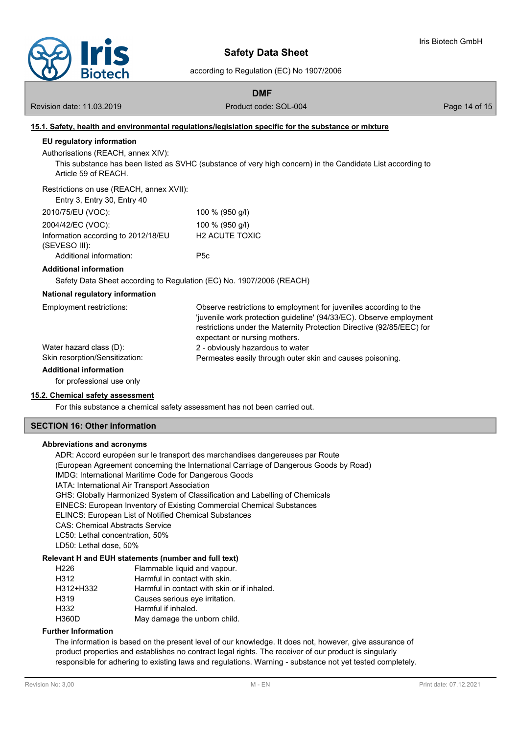

according to Regulation (EC) No 1907/2006

**DMF**

Revision date: 11.03.2019 **Product code: SOL-004** Product code: SOL-004 Page 14 of 15

# **15.1. Safety, health and environmental regulations/legislation specific for the substance or mixture EU regulatory information** Authorisations (REACH, annex XIV): This substance has been listed as SVHC (substance of very high concern) in the Candidate List according to Article 59 of REACH. Restrictions on use (REACH, annex XVII): Entry 3, Entry 30, Entry 40 2010/75/EU (VOC): 100 % (950 g/l) 2004/42/EC (VOC): 100 % (950 g/l) Information according to 2012/18/EU (SEVESO III): H2 ACUTE TOXIC Additional information: P5c **Additional information** Safety Data Sheet according to Regulation (EC) No. 1907/2006 (REACH) **National regulatory information** Observe restrictions to employment for juveniles according to the 'juvenile work protection guideline' (94/33/EC). Observe employment restrictions under the Maternity Protection Directive (92/85/EEC) for expectant or nursing mothers. Employment restrictions: Water hazard class (D): 2 - obviously hazardous to water Skin resorption/Sensitization: Permeates easily through outer skin and causes poisoning. **Additional information** for professional use only

# **15.2. Chemical safety assessment**

For this substance a chemical safety assessment has not been carried out.

#### **SECTION 16: Other information**

#### **Abbreviations and acronyms**

ADR: Accord européen sur le transport des marchandises dangereuses par Route (European Agreement concerning the International Carriage of Dangerous Goods by Road) IMDG: International Maritime Code for Dangerous Goods IATA: International Air Transport Association GHS: Globally Harmonized System of Classification and Labelling of Chemicals EINECS: European Inventory of Existing Commercial Chemical Substances ELINCS: European List of Notified Chemical Substances CAS: Chemical Abstracts Service LC50: Lethal concentration, 50% LD50: Lethal dose, 50% **Relevant H and EUH statements (number and full text)**

# H226 Flammable liquid and vapour. H312 Harmful in contact with skin. H312+H332 Harmful in contact with skin or if inhaled. H319 Causes serious eye irritation. H332 Harmful if inhaled.

# H360D May damage the unborn child.

# **Further Information**

The information is based on the present level of our knowledge. It does not, however, give assurance of product properties and establishes no contract legal rights. The receiver of our product is singularly responsible for adhering to existing laws and regulations. Warning - substance not yet tested completely.